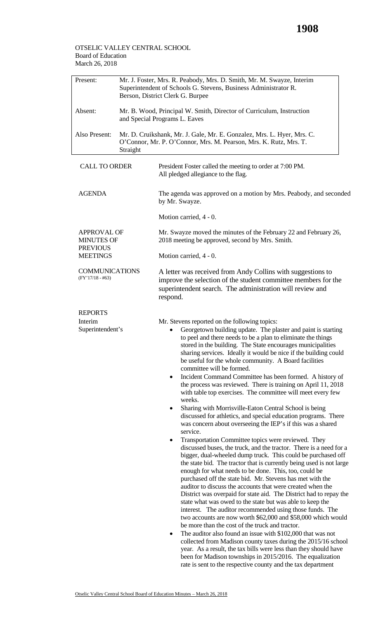## March 26, 2018 OTSELIC VALLEY CENTRAL SCHOOL Board of Education

| Present:                                      | Mr. J. Foster, Mrs. R. Peabody, Mrs. D. Smith, Mr. M. Swayze, Interim<br>Superintendent of Schools G. Stevens, Business Administrator R.<br>Berson, District Clerk G. Burpee |                                                                                                                                                                                                                                                                                                                                                                                                                                                                                                                                                                                                                                                                                                                                                                                                                                                                                                                                                                                                                                                                                                                                                                                                                                                                                                                                                                                                                                                                                                                                                                                                                                                                                                                                                                                                                                                                                                                                                 |  |  |
|-----------------------------------------------|------------------------------------------------------------------------------------------------------------------------------------------------------------------------------|-------------------------------------------------------------------------------------------------------------------------------------------------------------------------------------------------------------------------------------------------------------------------------------------------------------------------------------------------------------------------------------------------------------------------------------------------------------------------------------------------------------------------------------------------------------------------------------------------------------------------------------------------------------------------------------------------------------------------------------------------------------------------------------------------------------------------------------------------------------------------------------------------------------------------------------------------------------------------------------------------------------------------------------------------------------------------------------------------------------------------------------------------------------------------------------------------------------------------------------------------------------------------------------------------------------------------------------------------------------------------------------------------------------------------------------------------------------------------------------------------------------------------------------------------------------------------------------------------------------------------------------------------------------------------------------------------------------------------------------------------------------------------------------------------------------------------------------------------------------------------------------------------------------------------------------------------|--|--|
| Absent:                                       | Mr. B. Wood, Principal W. Smith, Director of Curriculum, Instruction<br>and Special Programs L. Eaves                                                                        |                                                                                                                                                                                                                                                                                                                                                                                                                                                                                                                                                                                                                                                                                                                                                                                                                                                                                                                                                                                                                                                                                                                                                                                                                                                                                                                                                                                                                                                                                                                                                                                                                                                                                                                                                                                                                                                                                                                                                 |  |  |
| Also Present:                                 | Mr. D. Cruikshank, Mr. J. Gale, Mr. E. Gonzalez, Mrs. L. Hyer, Mrs. C.<br>O'Connor, Mr. P. O'Connor, Mrs. M. Pearson, Mrs. K. Rutz, Mrs. T.<br>Straight                      |                                                                                                                                                                                                                                                                                                                                                                                                                                                                                                                                                                                                                                                                                                                                                                                                                                                                                                                                                                                                                                                                                                                                                                                                                                                                                                                                                                                                                                                                                                                                                                                                                                                                                                                                                                                                                                                                                                                                                 |  |  |
| <b>CALL TO ORDER</b>                          |                                                                                                                                                                              | President Foster called the meeting to order at 7:00 PM.<br>All pledged allegiance to the flag.                                                                                                                                                                                                                                                                                                                                                                                                                                                                                                                                                                                                                                                                                                                                                                                                                                                                                                                                                                                                                                                                                                                                                                                                                                                                                                                                                                                                                                                                                                                                                                                                                                                                                                                                                                                                                                                 |  |  |
| <b>AGENDA</b>                                 |                                                                                                                                                                              | The agenda was approved on a motion by Mrs. Peabody, and seconded<br>by Mr. Swayze.                                                                                                                                                                                                                                                                                                                                                                                                                                                                                                                                                                                                                                                                                                                                                                                                                                                                                                                                                                                                                                                                                                                                                                                                                                                                                                                                                                                                                                                                                                                                                                                                                                                                                                                                                                                                                                                             |  |  |
|                                               |                                                                                                                                                                              | Motion carried, 4 - 0.                                                                                                                                                                                                                                                                                                                                                                                                                                                                                                                                                                                                                                                                                                                                                                                                                                                                                                                                                                                                                                                                                                                                                                                                                                                                                                                                                                                                                                                                                                                                                                                                                                                                                                                                                                                                                                                                                                                          |  |  |
| <b>APPROVAL OF</b><br><b>MINUTES OF</b>       |                                                                                                                                                                              | Mr. Swayze moved the minutes of the February 22 and February 26,<br>2018 meeting be approved, second by Mrs. Smith.                                                                                                                                                                                                                                                                                                                                                                                                                                                                                                                                                                                                                                                                                                                                                                                                                                                                                                                                                                                                                                                                                                                                                                                                                                                                                                                                                                                                                                                                                                                                                                                                                                                                                                                                                                                                                             |  |  |
| <b>PREVIOUS</b><br><b>MEETINGS</b>            |                                                                                                                                                                              | Motion carried, 4 - 0.                                                                                                                                                                                                                                                                                                                                                                                                                                                                                                                                                                                                                                                                                                                                                                                                                                                                                                                                                                                                                                                                                                                                                                                                                                                                                                                                                                                                                                                                                                                                                                                                                                                                                                                                                                                                                                                                                                                          |  |  |
| <b>COMMUNICATIONS</b><br>$(FY'17/18 - #63)$   |                                                                                                                                                                              | A letter was received from Andy Collins with suggestions to<br>improve the selection of the student committee members for the<br>superintendent search. The administration will review and<br>respond.                                                                                                                                                                                                                                                                                                                                                                                                                                                                                                                                                                                                                                                                                                                                                                                                                                                                                                                                                                                                                                                                                                                                                                                                                                                                                                                                                                                                                                                                                                                                                                                                                                                                                                                                          |  |  |
| <b>REPORTS</b><br>Interim<br>Superintendent's |                                                                                                                                                                              | Mr. Stevens reported on the following topics:<br>Georgetown building update. The plaster and paint is starting<br>to peel and there needs to be a plan to eliminate the things<br>stored in the building. The State encourages municipalities<br>sharing services. Ideally it would be nice if the building could<br>be useful for the whole community. A Board facilities<br>committee will be formed.<br>Incident Command Committee has been formed. A history of<br>٠<br>the process was reviewed. There is training on April 11, 2018<br>with table top exercises. The committee will meet every few<br>weeks.<br>Sharing with Morrisville-Eaton Central School is being<br>discussed for athletics, and special education programs. There<br>was concern about overseeing the IEP's if this was a shared<br>service.<br>Transportation Committee topics were reviewed. They<br>٠<br>discussed buses, the truck, and the tractor. There is a need for a<br>bigger, dual-wheeled dump truck. This could be purchased off<br>the state bid. The tractor that is currently being used is not large<br>enough for what needs to be done. This, too, could be<br>purchased off the state bid. Mr. Stevens has met with the<br>auditor to discuss the accounts that were created when the<br>District was overpaid for state aid. The District had to repay the<br>state what was owed to the state but was able to keep the<br>interest. The auditor recommended using those funds. The<br>two accounts are now worth \$62,000 and \$58,000 which would<br>be more than the cost of the truck and tractor.<br>The auditor also found an issue with \$102,000 that was not<br>٠<br>collected from Madison county taxes during the 2015/16 school<br>year. As a result, the tax bills were less than they should have<br>been for Madison townships in 2015/2016. The equalization<br>rate is sent to the respective county and the tax department |  |  |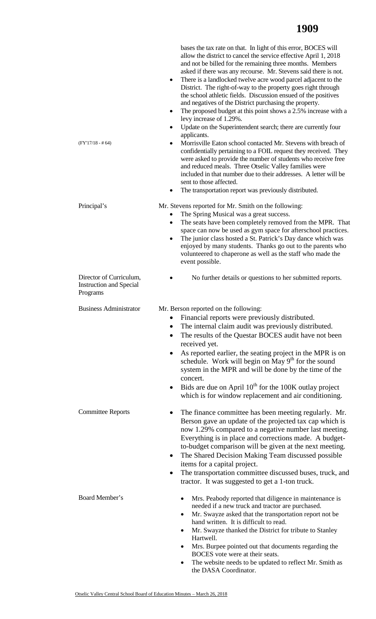| $(FY'17/18 - # 64)$                                                   | bases the tax rate on that. In light of this error, BOCES will<br>allow the district to cancel the service effective April 1, 2018<br>and not be billed for the remaining three months. Members<br>asked if there was any recourse. Mr. Stevens said there is not.<br>There is a landlocked twelve acre wood parcel adjacent to the<br>٠<br>District. The right-of-way to the property goes right through<br>the school athletic fields. Discussion ensued of the positives<br>and negatives of the District purchasing the property.<br>The proposed budget at this point shows a 2.5% increase with a<br>٠<br>levy increase of 1.29%.<br>Update on the Superintendent search; there are currently four<br>٠<br>applicants.<br>Morrisville Eaton school contacted Mr. Stevens with breach of<br>٠<br>confidentially pertaining to a FOIL request they received. They<br>were asked to provide the number of students who receive free<br>and reduced meals. Three Otselic Valley families were<br>included in that number due to their addresses. A letter will be<br>sent to those affected.<br>The transportation report was previously distributed.<br>٠ |
|-----------------------------------------------------------------------|--------------------------------------------------------------------------------------------------------------------------------------------------------------------------------------------------------------------------------------------------------------------------------------------------------------------------------------------------------------------------------------------------------------------------------------------------------------------------------------------------------------------------------------------------------------------------------------------------------------------------------------------------------------------------------------------------------------------------------------------------------------------------------------------------------------------------------------------------------------------------------------------------------------------------------------------------------------------------------------------------------------------------------------------------------------------------------------------------------------------------------------------------------------|
| Principal's                                                           | Mr. Stevens reported for Mr. Smith on the following:<br>The Spring Musical was a great success.<br>The seats have been completely removed from the MPR. That<br>٠<br>space can now be used as gym space for afterschool practices.<br>The junior class hosted a St. Patrick's Day dance which was<br>٠<br>enjoyed by many students. Thanks go out to the parents who<br>volunteered to chaperone as well as the staff who made the<br>event possible.                                                                                                                                                                                                                                                                                                                                                                                                                                                                                                                                                                                                                                                                                                        |
| Director of Curriculum,<br><b>Instruction and Special</b><br>Programs | No further details or questions to her submitted reports.                                                                                                                                                                                                                                                                                                                                                                                                                                                                                                                                                                                                                                                                                                                                                                                                                                                                                                                                                                                                                                                                                                    |
| <b>Business Administrator</b>                                         | Mr. Berson reported on the following:<br>• Financial reports were previously distributed<br>The internal claim audit was previously distributed.<br>The results of the Questar BOCES audit have not been<br>received yet.<br>As reported earlier, the seating project in the MPR is on<br>schedule. Work will begin on May 9 <sup>th</sup> for the sound<br>system in the MPR and will be done by the time of the<br>concert.<br>Bids are due on April $10th$ for the 100K outlay project<br>٠<br>which is for window replacement and air conditioning.                                                                                                                                                                                                                                                                                                                                                                                                                                                                                                                                                                                                      |
| <b>Committee Reports</b>                                              | The finance committee has been meeting regularly. Mr.<br>Berson gave an update of the projected tax cap which is<br>now 1.29% compared to a negative number last meeting.<br>Everything is in place and corrections made. A budget-<br>to-budget comparison will be given at the next meeting.<br>The Shared Decision Making Team discussed possible<br>items for a capital project.<br>The transportation committee discussed buses, truck, and<br>٠<br>tractor. It was suggested to get a 1-ton truck.                                                                                                                                                                                                                                                                                                                                                                                                                                                                                                                                                                                                                                                     |
| Board Member's                                                        | Mrs. Peabody reported that diligence in maintenance is<br>needed if a new truck and tractor are purchased.<br>Mr. Swayze asked that the transportation report not be<br>hand written. It is difficult to read.<br>Mr. Swayze thanked the District for tribute to Stanley<br>$\bullet$<br>Hartwell.<br>Mrs. Burpee pointed out that documents regarding the<br>٠<br>BOCES vote were at their seats.<br>The website needs to be updated to reflect Mr. Smith as<br>٠<br>the DASA Coordinator.                                                                                                                                                                                                                                                                                                                                                                                                                                                                                                                                                                                                                                                                  |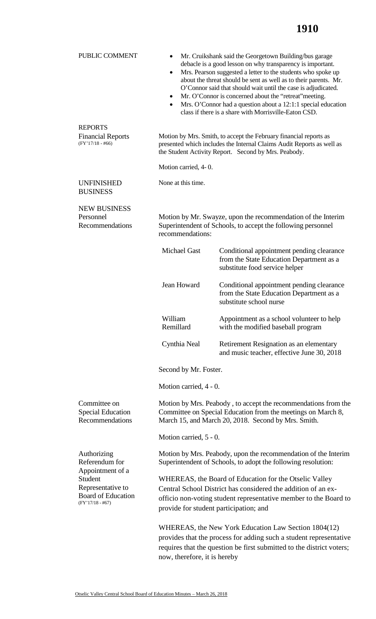| PUBLIC COMMENT                                                                                      | Mr. Cruikshank said the Georgetown Building/bus garage<br>٠<br>debacle is a good lesson on why transparency is important.<br>Mrs. Pearson suggested a letter to the students who spoke up<br>$\bullet$<br>about the threat should be sent as well as to their parents. Mr.<br>O'Connor said that should wait until the case is adjudicated.<br>Mr. O'Connor is concerned about the "retreat" meeting.<br>٠<br>Mrs. O'Connor had a question about a 12:1:1 special education<br>$\bullet$<br>class if there is a share with Morrisville-Eaton CSD. |                                                                                                                                                                                                     |  |
|-----------------------------------------------------------------------------------------------------|---------------------------------------------------------------------------------------------------------------------------------------------------------------------------------------------------------------------------------------------------------------------------------------------------------------------------------------------------------------------------------------------------------------------------------------------------------------------------------------------------------------------------------------------------|-----------------------------------------------------------------------------------------------------------------------------------------------------------------------------------------------------|--|
| <b>REPORTS</b><br><b>Financial Reports</b><br>$(FY'17/18 - #66)$                                    |                                                                                                                                                                                                                                                                                                                                                                                                                                                                                                                                                   | Motion by Mrs. Smith, to accept the February financial reports as<br>presented which includes the Internal Claims Audit Reports as well as<br>the Student Activity Report. Second by Mrs. Peabody.  |  |
|                                                                                                     | Motion carried, 4-0.                                                                                                                                                                                                                                                                                                                                                                                                                                                                                                                              |                                                                                                                                                                                                     |  |
| <b>UNFINISHED</b><br><b>BUSINESS</b>                                                                | None at this time.                                                                                                                                                                                                                                                                                                                                                                                                                                                                                                                                |                                                                                                                                                                                                     |  |
| <b>NEW BUSINESS</b><br>Personnel<br>Recommendations                                                 | Motion by Mr. Swayze, upon the recommendation of the Interim<br>Superintendent of Schools, to accept the following personnel<br>recommendations:                                                                                                                                                                                                                                                                                                                                                                                                  |                                                                                                                                                                                                     |  |
|                                                                                                     | <b>Michael Gast</b>                                                                                                                                                                                                                                                                                                                                                                                                                                                                                                                               | Conditional appointment pending clearance<br>from the State Education Department as a<br>substitute food service helper                                                                             |  |
|                                                                                                     | Jean Howard                                                                                                                                                                                                                                                                                                                                                                                                                                                                                                                                       | Conditional appointment pending clearance<br>from the State Education Department as a<br>substitute school nurse                                                                                    |  |
|                                                                                                     | William<br>Remillard                                                                                                                                                                                                                                                                                                                                                                                                                                                                                                                              | Appointment as a school volunteer to help<br>with the modified baseball program                                                                                                                     |  |
|                                                                                                     | Cynthia Neal                                                                                                                                                                                                                                                                                                                                                                                                                                                                                                                                      | Retirement Resignation as an elementary<br>and music teacher, effective June 30, 2018                                                                                                               |  |
|                                                                                                     | Second by Mr. Foster.                                                                                                                                                                                                                                                                                                                                                                                                                                                                                                                             |                                                                                                                                                                                                     |  |
|                                                                                                     | Motion carried, 4 - 0.                                                                                                                                                                                                                                                                                                                                                                                                                                                                                                                            |                                                                                                                                                                                                     |  |
| Committee on<br><b>Special Education</b><br>Recommendations                                         |                                                                                                                                                                                                                                                                                                                                                                                                                                                                                                                                                   | Motion by Mrs. Peabody, to accept the recommendations from the<br>Committee on Special Education from the meetings on March 8,<br>March 15, and March 20, 2018. Second by Mrs. Smith.               |  |
|                                                                                                     | Motion carried, 5 - 0.                                                                                                                                                                                                                                                                                                                                                                                                                                                                                                                            |                                                                                                                                                                                                     |  |
| Authorizing<br>Referendum for                                                                       | Motion by Mrs. Peabody, upon the recommendation of the Interim<br>Superintendent of Schools, to adopt the following resolution:                                                                                                                                                                                                                                                                                                                                                                                                                   |                                                                                                                                                                                                     |  |
| Appointment of a<br>Student<br>Representative to<br><b>Board of Education</b><br>$(FY'17/18 - #67)$ | WHEREAS, the Board of Education for the Otselic Valley<br>Central School District has considered the addition of an ex-<br>officio non-voting student representative member to the Board to<br>provide for student participation; and                                                                                                                                                                                                                                                                                                             |                                                                                                                                                                                                     |  |
|                                                                                                     | now, therefore, it is hereby                                                                                                                                                                                                                                                                                                                                                                                                                                                                                                                      | WHEREAS, the New York Education Law Section 1804(12)<br>provides that the process for adding such a student representative<br>requires that the question be first submitted to the district voters; |  |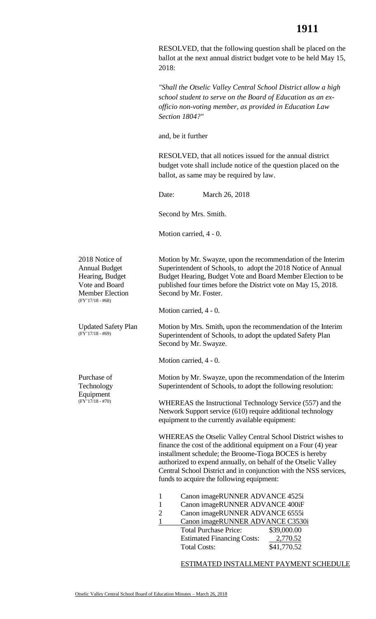RESOLVED, that the following question shall be placed on the ballot at the next annual district budget vote to be held May 15, 2018:

*"Shall the Otselic Valley Central School District allow a high school student to serve on the Board of Education as an exofficio non-voting member, as provided in Education Law Section 1804?"* 

and, be it further

RESOLVED, that all notices issued for the annual district budget vote shall include notice of the question placed on the ballot, as same may be required by law.

 $\text{Date}^{\star}$ March 26, 2018

Second by Mrs. Smith.

Motion carried, 4 - 0.

2018 Notice of Annual Budget Hearing, Budget Vote and Board Member Election (FY'17/18 - #68)

 (FY'17/18 - #69) Updated Safety Plan

Purchase of Technology Equipment  $(FY'17/18 - #70)$ 

 Motion by Mr. Swayze, upon the recommendation of the Interim Superintendent of Schools, to adopt the 2018 Notice of Annual Budget Hearing, Budget Vote and Board Member Election to be published four times before the District vote on May 15, 2018. Second by Mr. Foster.

Motion carried, 4 - 0.

Motion by Mrs. Smith, upon the recommendation of the Interim Superintendent of Schools, to adopt the updated Safety Plan Second by Mr. Swayze.

Motion carried, 4 - 0.

 Motion by Mr. Swayze, upon the recommendation of the Interim Superintendent of Schools, to adopt the following resolution:

 Network Support service (610) require additional technology WHEREAS the Instructional Technology Service (557) and the equipment to the currently available equipment:

 finance the cost of the additional equipment on a Four (4) year WHEREAS the Otselic Valley Central School District wishes to installment schedule; the Broome-Tioga BOCES is hereby authorized to expend annually, on behalf of the Otselic Valley Central School District and in conjunction with the NSS services, funds to acquire the following equipment:

- 1 Canon imageRUNNER ADVANCE 4525i
- 1 Canon imageRUNNER ADVANCE 400iF
- 2 Canon imageRUNNER ADVANCE 6555i
- Total Purchase Price: \$39,000.00  $\overline{a}$ **Total Costs:** 1 Canon imageRUNNER ADVANCE C3530i Estimated Financing Costs: 2,770.52 \$41,770.52

ESTIMATED INSTALLMENT PAYMENT SCHEDULE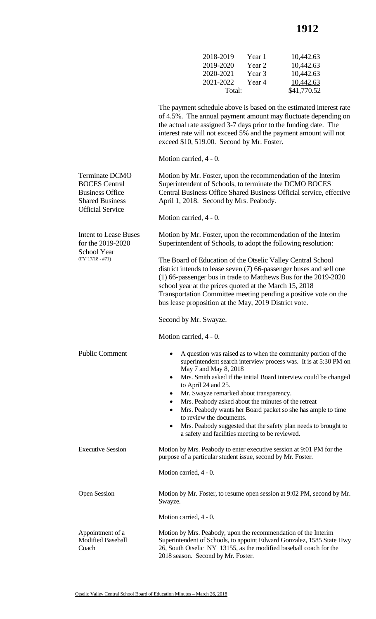## **1912**

| 2018-2019 | Year 1 | 10,442.63   |
|-----------|--------|-------------|
| 2019-2020 | Year 2 | 10,442.63   |
| 2020-2021 | Year 3 | 10,442.63   |
| 2021-2022 | Year 4 | 10,442.63   |
| Total:    |        | \$41,770.52 |

 The payment schedule above is based on the estimated interest rate of 4.5%. The annual payment amount may fluctuate depending on the actual rate assigned 3-7 days prior to the funding date. The interest rate will not exceed 5% and the payment amount will not exceed \$10, 519.00. Second by Mr. Foster.

Motion carried, 4 - 0.

| <b>Terminate DCMO</b><br><b>BOCES</b> Central<br><b>Business Office</b><br><b>Shared Business</b><br><b>Official Service</b> | Motion by Mr. Foster, upon the recommendation of the Interim<br>Superintendent of Schools, to terminate the DCMO BOCES<br>Central Business Office Shared Business Official service, effective<br>April 1, 2018. Second by Mrs. Peabody.<br>Motion carried, 4 - 0.                                                                                                                                                                                                                                                                                                                                                  |
|------------------------------------------------------------------------------------------------------------------------------|--------------------------------------------------------------------------------------------------------------------------------------------------------------------------------------------------------------------------------------------------------------------------------------------------------------------------------------------------------------------------------------------------------------------------------------------------------------------------------------------------------------------------------------------------------------------------------------------------------------------|
|                                                                                                                              |                                                                                                                                                                                                                                                                                                                                                                                                                                                                                                                                                                                                                    |
| <b>Intent to Lease Buses</b><br>for the 2019-2020<br><b>School Year</b>                                                      | Motion by Mr. Foster, upon the recommendation of the Interim<br>Superintendent of Schools, to adopt the following resolution:                                                                                                                                                                                                                                                                                                                                                                                                                                                                                      |
| $(FY'17/18 - #71)$                                                                                                           | The Board of Education of the Otselic Valley Central School<br>district intends to lease seven (7) 66-passenger buses and sell one<br>(1) 66-passenger bus in trade to Matthews Bus for the 2019-2020<br>school year at the prices quoted at the March 15, 2018<br>Transportation Committee meeting pending a positive vote on the<br>bus lease proposition at the May, 2019 District vote.                                                                                                                                                                                                                        |
|                                                                                                                              | Second by Mr. Swayze.                                                                                                                                                                                                                                                                                                                                                                                                                                                                                                                                                                                              |
|                                                                                                                              | Motion carried, 4 - 0.                                                                                                                                                                                                                                                                                                                                                                                                                                                                                                                                                                                             |
| <b>Public Comment</b>                                                                                                        | A question was raised as to when the community portion of the<br>٠<br>superintendent search interview process was. It is at 5:30 PM on<br>May 7 and May 8, 2018<br>Mrs. Smith asked if the initial Board interview could be changed<br>$\bullet$<br>to April 24 and 25.<br>Mr. Swayze remarked about transparency.<br>Mrs. Peabody asked about the minutes of the retreat<br>٠<br>Mrs. Peabody wants her Board packet so she has ample to time<br>$\bullet$<br>to review the documents.<br>Mrs. Peabody suggested that the safety plan needs to brought to<br>٠<br>a safety and facilities meeting to be reviewed. |
| <b>Executive Session</b>                                                                                                     | Motion by Mrs. Peabody to enter executive session at 9:01 PM for the<br>purpose of a particular student issue, second by Mr. Foster.                                                                                                                                                                                                                                                                                                                                                                                                                                                                               |
|                                                                                                                              | Motion carried, 4 - 0.                                                                                                                                                                                                                                                                                                                                                                                                                                                                                                                                                                                             |
| <b>Open Session</b>                                                                                                          | Motion by Mr. Foster, to resume open session at 9:02 PM, second by Mr.<br>Swayze.                                                                                                                                                                                                                                                                                                                                                                                                                                                                                                                                  |
|                                                                                                                              | Motion carried, 4 - 0.                                                                                                                                                                                                                                                                                                                                                                                                                                                                                                                                                                                             |
| Appointment of a<br><b>Modified Baseball</b><br>Coach                                                                        | Motion by Mrs. Peabody, upon the recommendation of the Interim<br>Superintendent of Schools, to appoint Edward Gonzalez, 1585 State Hwy<br>26, South Otselic NY 13155, as the modified baseball coach for the<br>2018 season. Second by Mr. Foster.                                                                                                                                                                                                                                                                                                                                                                |